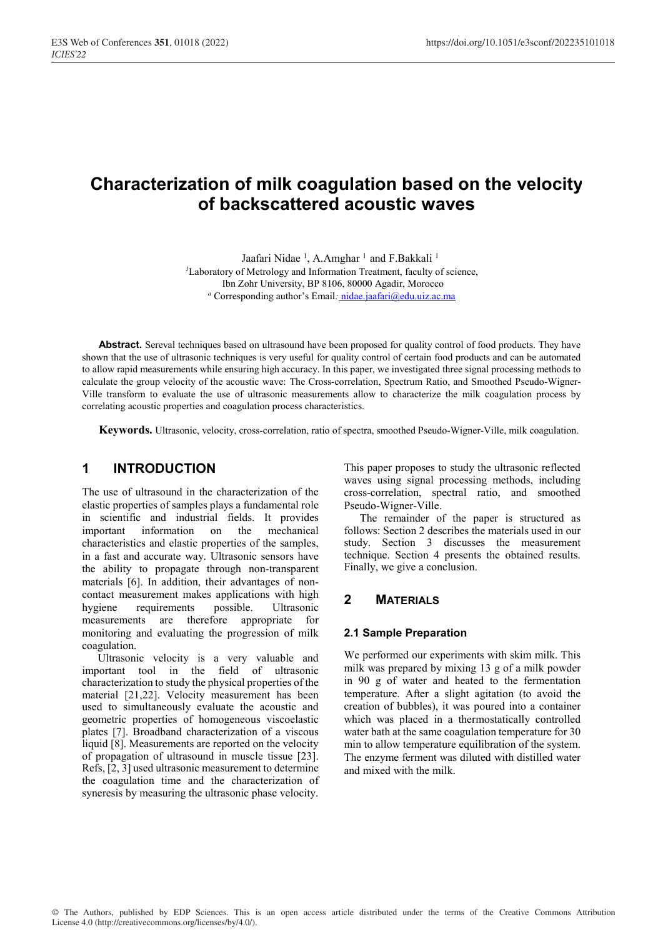# **Characterization of milk coagulation based on the velocity of backscattered acoustic waves**

Jaafari Nidae<sup>1</sup>, A.Amghar<sup>1</sup> and F.Bakkali<sup>1</sup>

*<sup>1</sup>*Laboratory of Metrology and Information Treatment, faculty of science, Ibn Zohr University, BP 8106, 80000 Agadir, Morocco *<sup>a</sup>* Corresponding author's Email*:* nidae.jaafari@edu.uiz.ac.ma

**Abstract.** Sereval techniques based on ultrasound have been proposed for quality control of food products. They have shown that the use of ultrasonic techniques is very useful for quality control of certain food products and can be automated to allow rapid measurements while ensuring high accuracy. In this paper, we investigated three signal processing methods to calculate the group velocity of the acoustic wave: The Cross-correlation, Spectrum Ratio, and Smoothed Pseudo-Wigner-Ville transform to evaluate the use of ultrasonic measurements allow to characterize the milk coagulation process by correlating acoustic properties and coagulation process characteristics.

**Keywords.** Ultrasonic, velocity, cross-correlation, ratio of spectra, smoothed Pseudo-Wigner-Ville, milk coagulation.

# **1 INTRODUCTION**

The use of ultrasound in the characterization of the elastic properties of samples plays a fundamental role in scientific and industrial fields. It provides important information on the mechanical characteristics and elastic properties of the samples, in a fast and accurate way. Ultrasonic sensors have the ability to propagate through non-transparent materials [6]. In addition, their advantages of noncontact measurement makes applications with high hygiene requirements possible. Ultrasonic measurements are therefore appropriate for monitoring and evaluating the progression of milk coagulation.

Ultrasonic velocity is a very valuable and important tool in the field of ultrasonic characterization to study the physical properties of the material [21,22]. Velocity measurement has been used to simultaneously evaluate the acoustic and geometric properties of homogeneous viscoelastic plates [7]. Broadband characterization of a viscous liquid [8]. Measurements are reported on the velocity of propagation of ultrasound in muscle tissue [23]. Refs, [2, 3] used ultrasonic measurement to determine the coagulation time and the characterization of syneresis by measuring the ultrasonic phase velocity.

This paper proposes to study the ultrasonic reflected waves using signal processing methods, including cross-correlation, spectral ratio, and smoothed Pseudo-Wigner-Ville.

The remainder of the paper is structured as follows: Section 2 describes the materials used in our study. Section 3 discusses the measurement technique. Section 4 presents the obtained results. Finally, we give a conclusion.

## **2 MATERIALS**

### **2.1 Sample Preparation**

We performed our experiments with skim milk. This milk was prepared by mixing 13 g of a milk powder in 90 g of water and heated to the fermentation temperature. After a slight agitation (to avoid the creation of bubbles), it was poured into a container which was placed in a thermostatically controlled water bath at the same coagulation temperature for 30 min to allow temperature equilibration of the system. The enzyme ferment was diluted with distilled water and mixed with the milk.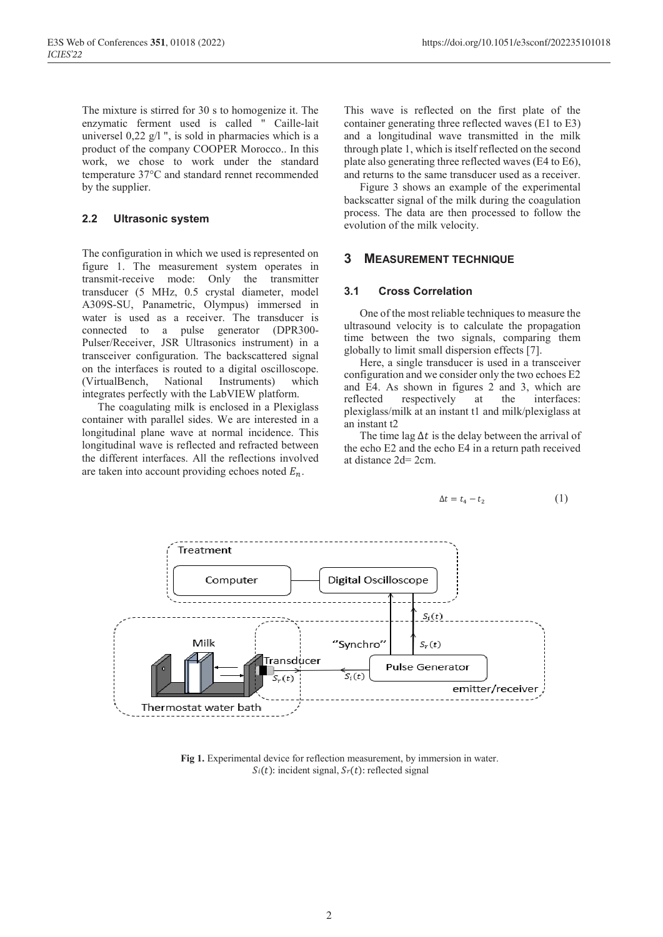The mixture is stirred for 30 s to homogenize it. The enzymatic ferment used is called " Caille-lait universel 0,22 g/l ", is sold in pharmacies which is a product of the company COOPER Morocco.. In this work, we chose to work under the standard temperature 37°C and standard rennet recommended by the supplier.

### **2.2 Ultrasonic system**

The configuration in which we used is represented on figure 1. The measurement system operates in transmit-receive mode: Only the transmitter transducer (5 MHz, 0.5 crystal diameter, model A309S-SU, Panametric, Olympus) immersed in water is used as a receiver. The transducer is connected to a pulse generator (DPR300- Pulser/Receiver, JSR Ultrasonics instrument) in a transceiver configuration. The backscattered signal on the interfaces is routed to a digital oscilloscope. (VirtualBench, National Instruments) which integrates perfectly with the LabVIEW platform.

The coagulating milk is enclosed in a Plexiglass container with parallel sides. We are interested in a longitudinal plane wave at normal incidence. This longitudinal wave is reflected and refracted between the different interfaces. All the reflections involved are taken into account providing echoes noted  $E_n$ .

This wave is reflected on the first plate of the container generating three reflected waves (E1 to E3) and a longitudinal wave transmitted in the milk through plate 1, which is itself reflected on the second plate also generating three reflected waves (E4 to E6), and returns to the same transducer used as a receiver.

Figure 3 shows an example of the experimental backscatter signal of the milk during the coagulation process. The data are then processed to follow the evolution of the milk velocity.

### **3 MEASUREMENT TECHNIQUE**

#### **3.1 Cross Correlation**

One of the most reliable techniques to measure the ultrasound velocity is to calculate the propagation time between the two signals, comparing them globally to limit small dispersion effects [7].

Here, a single transducer is used in a transceiver configuration and we consider only the two echoes E2 and E4. As shown in figures 2 and 3, which are reflected respectively at the interfaces: plexiglass/milk at an instant t1 and milk/plexiglass at an instant t2

The time lag  $\Delta t$  is the delay between the arrival of the echo E2 and the echo E4 in a return path received at distance 2d= 2cm.

$$
\Delta t = t_4 - t_2 \tag{1}
$$



Fig 1. Experimental device for reflection measurement, by immersion in water.  $Si(t)$ : incident signal,  $S<sub>r</sub>(t)$ : reflected signal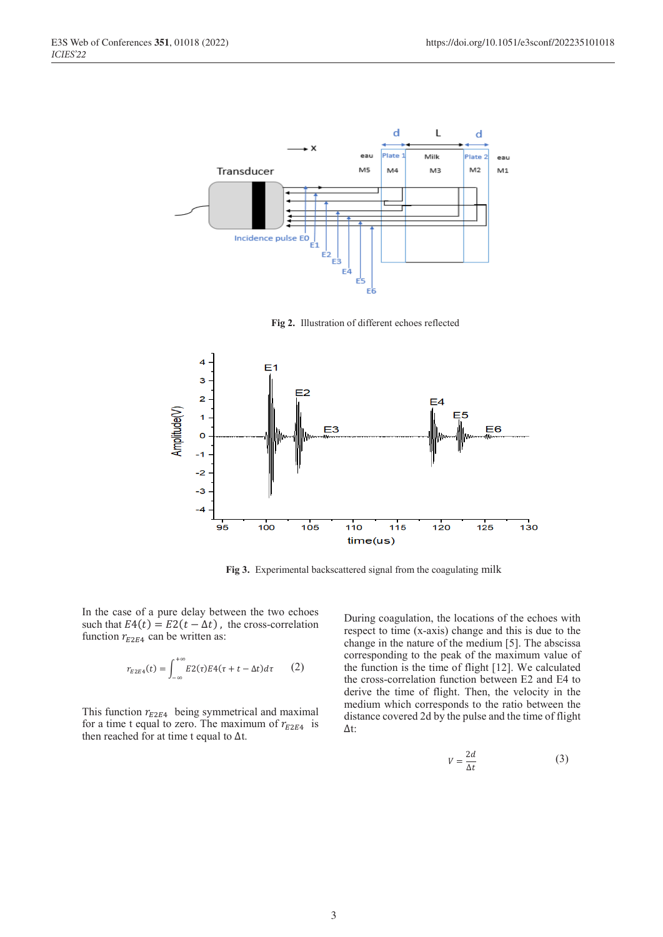

**Fig 2.** Illustration of different echoes reflected



**Fig 3.** Experimental backscattered signal from the coagulating milk

In the case of a pure delay between the two echoes such that  $E4(t) = E2(t - \Delta t)$ , the cross-correlation function  $r_{E2E4}$  can be written as:

$$
r_{E2E4}(t) = \int_{-\infty}^{+\infty} E2(\tau)E4(\tau + t - \Delta t)d\tau \qquad (2)
$$

This function  $r_{E2E4}$  being symmetrical and maximal for a time t equal to zero. The maximum of  $r_{E2E4}$  is then reached for at time t equal to  $\Delta t$ .

During coagulation, the locations of the echoes with respect to time (x-axis) change and this is due to the change in the nature of the medium [5]. The abscissa corresponding to the peak of the maximum value of the function is the time of flight [12]. We calculated the cross-correlation function between E2 and E4 to derive the time of flight. Then, the velocity in the medium which corresponds to the ratio between the distance covered 2d by the pulse and the time of flight ∆t:

$$
V = \frac{2d}{\Delta t} \tag{3}
$$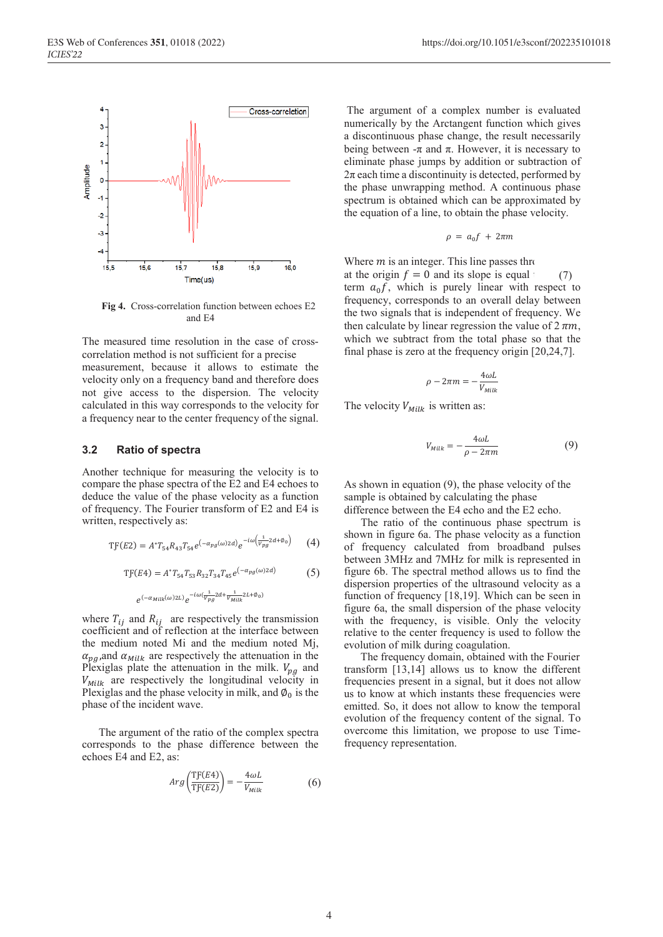

**Fig 4.** Cross-correlation function between echoes E2 and E4

The measured time resolution in the case of crosscorrelation method is not sufficient for a precise measurement, because it allows to estimate the velocity only on a frequency band and therefore does not give access to the dispersion. The velocity calculated in this way corresponds to the velocity for a frequency near to the center frequency of the signal.

#### **3.2 Ratio of spectra**

Another technique for measuring the velocity is to compare the phase spectra of the E2 and E4 echoes to deduce the value of the phase velocity as a function of frequency. The Fourier transform of E2 and E4 is written, respectively as:

$$
TF(E2) = A^*T_{54}R_{43}T_{54}e^{(-\alpha_{pg}(\omega)2d)}e^{-i\omega(\frac{1}{V_{pg}}2d+\phi_0)}
$$
 (4)

$$
TF(E4) = A^*T_{54}T_{53}R_{32}T_{34}T_{45}e^{(-\alpha_{pg}(\omega)2d)}
$$
(5)

 $e^{(-\alpha_{Milk}(\omega)2L)}e^{-i\omega(\frac{1}{Vpg}2d+\frac{1}{V_{Milk}}2L+\phi_0)}$ 

where  $T_{ij}$  and  $R_{ij}$  are respectively the transmission coefficient and of reflection at the interface between the medium noted Mi and the medium noted Mj,  $\alpha_{pq}$ ,and  $\alpha_{Milk}$  are respectively the attenuation in the Plexiglas plate the attenuation in the milk.  $V_{pq}$  and  $V_{Milk}$  are respectively the longitudinal velocity in Plexiglas and the phase velocity in milk, and  $\phi_0$  is the phase of the incident wave.

The argument of the ratio of the complex spectra corresponds to the phase difference between the echoes E4 and E2, as:

$$
Arg\left(\frac{\text{TF}(E4)}{\text{TF}(E2)}\right) = -\frac{4\omega L}{V_{Milk}}\tag{6}
$$

The argument of a complex number is evaluated numerically by the Arctangent function which gives a discontinuous phase change, the result necessarily being between  $-π$  and  $π$ . However, it is necessary to eliminate phase jumps by addition or subtraction of  $2\pi$  each time a discontinuity is detected, performed by the phase unwrapping method. A continuous phase spectrum is obtained which can be approximated by the equation of a line, to obtain the phase velocity.

$$
\rho = a_0 f + 2\pi m
$$

Where  $m$  is an integer. This line passes through at the origin  $f = 0$  and its slope is equal term  $a_0 f$ , which is purely linear with respect to frequency, corresponds to an overall delay between the two signals that is independent of frequency. We then calculate by linear regression the value of  $2 \pi m$ , which we subtract from the total phase so that the final phase is zero at the frequency origin [20,24,7]. (7)

$$
\rho - 2\pi m = -\frac{4\omega L}{V_{Milk}}
$$

The velocity  $V_{Milk}$  is written as:

$$
V_{Milk} = -\frac{4\omega L}{\rho - 2\pi m} \tag{9}
$$

As shown in equation (9), the phase velocity of the sample is obtained by calculating the phase difference between the E4 echo and the E2 echo.

The ratio of the continuous phase spectrum is shown in figure 6a. The phase velocity as a function of frequency calculated from broadband pulses between 3MHz and 7MHz for milk is represented in figure 6b. The spectral method allows us to find the dispersion properties of the ultrasound velocity as a function of frequency [18,19]. Which can be seen in figure 6a, the small dispersion of the phase velocity with the frequency, is visible. Only the velocity relative to the center frequency is used to follow the evolution of milk during coagulation.

The frequency domain, obtained with the Fourier transform [13,14] allows us to know the different frequencies present in a signal, but it does not allow us to know at which instants these frequencies were emitted. So, it does not allow to know the temporal evolution of the frequency content of the signal. To overcome this limitation, we propose to use Timefrequency representation.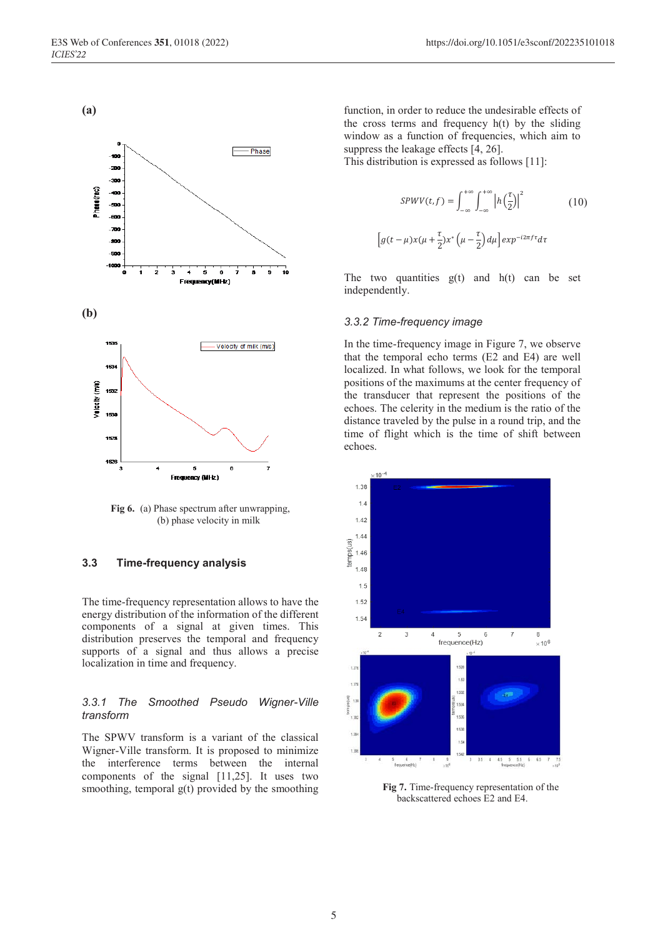**(a)**



**Fig 6.** (a) Phase spectrum after unwrapping, (b) phase velocity in milk

#### **3.3 Time-frequency analysis**

The time-frequency representation allows to have the energy distribution of the information of the different components of a signal at given times. This distribution preserves the temporal and frequency supports of a signal and thus allows a precise localization in time and frequency.

#### *3.3.1 The Smoothed Pseudo Wigner-Ville transform*

The SPWV transform is a variant of the classical Wigner-Ville transform. It is proposed to minimize the interference terms between the internal components of the signal [11,25]. It uses two smoothing, temporal  $g(t)$  provided by the smoothing

function, in order to reduce the undesirable effects of the cross terms and frequency h(t) by the sliding window as a function of frequencies, which aim to suppress the leakage effects [4, 26].

This distribution is expressed as follows [11]:

$$
SPWV(t,f) = \int_{-\infty}^{+\infty} \int_{-\infty}^{+\infty} \left| h\left(\frac{\tau}{2}\right) \right|^2 \tag{10}
$$

$$
\left[ g(t-\mu)x(\mu+\frac{\tau}{2})x^* \left( \mu-\frac{\tau}{2} \right) d\mu \right] exp^{-i2\pi f\tau} d\tau
$$

The two quantities  $g(t)$  and  $h(t)$  can be set independently.

#### *3.3.2 Time-frequency image*

In the time-frequency image in Figure 7, we observe that the temporal echo terms (E2 and E4) are well localized. In what follows, we look for the temporal positions of the maximums at the center frequency of the transducer that represent the positions of the echoes. The celerity in the medium is the ratio of the distance traveled by the pulse in a round trip, and the time of flight which is the time of shift between echoes.



**Fig 7.** Time-frequency representation of the backscattered echoes E2 and E4.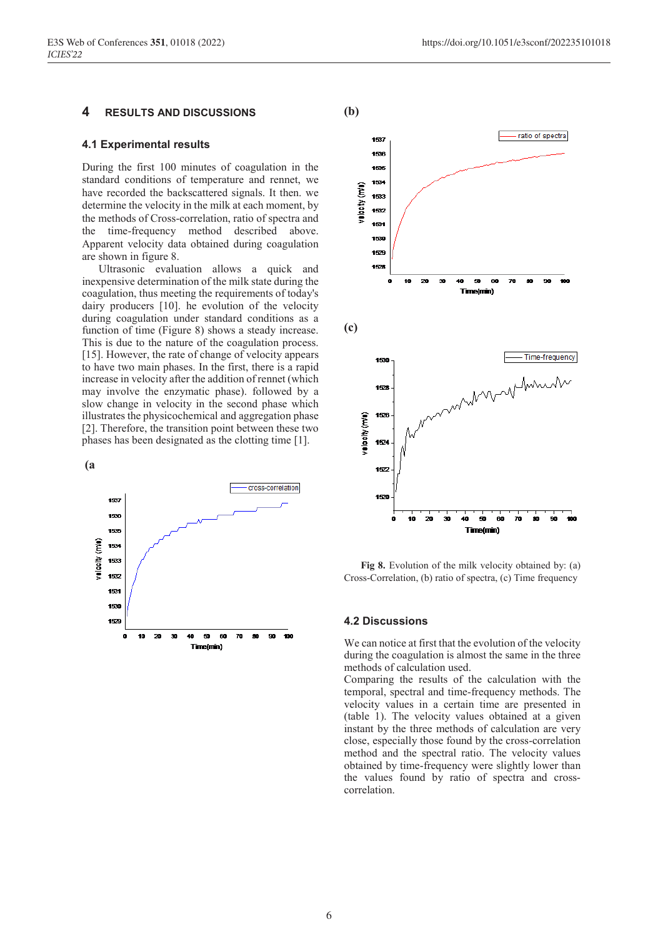#### **4 RESULTS AND DISCUSSIONS**

### **4.1 Experimental results**

During the first 100 minutes of coagulation in the standard conditions of temperature and rennet, we have recorded the backscattered signals. It then. we determine the velocity in the milk at each moment, by the methods of Cross-correlation, ratio of spectra and the time-frequency method described above. Apparent velocity data obtained during coagulation are shown in figure 8.

Ultrasonic evaluation allows a quick and inexpensive determination of the milk state during the coagulation, thus meeting the requirements of today's dairy producers [10]. he evolution of the velocity during coagulation under standard conditions as a function of time (Figure 8) shows a steady increase. This is due to the nature of the coagulation process. [15]. However, the rate of change of velocity appears to have two main phases. In the first, there is a rapid increase in velocity after the addition of rennet (which may involve the enzymatic phase). followed by a slow change in velocity in the second phase which illustrates the physicochemical and aggregation phase [2]. Therefore, the transition point between these two phases has been designated as the clotting time [1].





**Fig 8.** Evolution of the milk velocity obtained by: (a) Cross-Correlation, (b) ratio of spectra, (c) Time frequency

#### **4.2 Discussions**

We can notice at first that the evolution of the velocity during the coagulation is almost the same in the three methods of calculation used.

Comparing the results of the calculation with the temporal, spectral and time-frequency methods. The velocity values in a certain time are presented in (table 1). The velocity values obtained at a given instant by the three methods of calculation are very close, especially those found by the cross-correlation method and the spectral ratio. The velocity values obtained by time-frequency were slightly lower than the values found by ratio of spectra and crosscorrelation.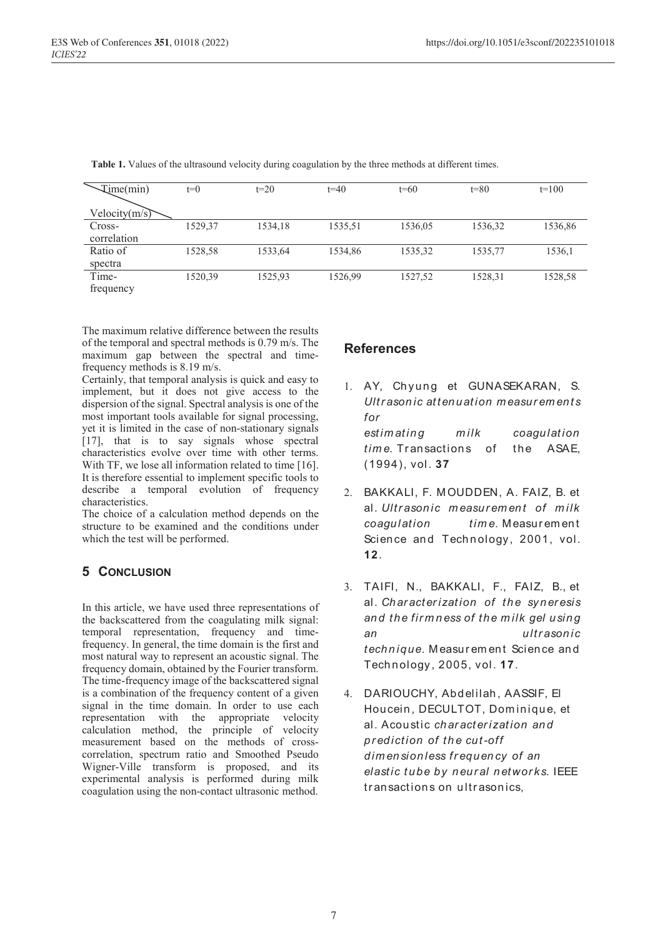| Time(min)        | $t=0$   | $t=20$  | $t=40$  | $t=60$  | $t=80$  | $t=100$ |
|------------------|---------|---------|---------|---------|---------|---------|
| Velocity $(m/s)$ |         |         |         |         |         |         |
| Cross-           | 1529,37 | 1534,18 | 1535,51 | 1536,05 | 1536,32 | 1536,86 |
| correlation      |         |         |         |         |         |         |
| Ratio of         | 1528,58 | 1533,64 | 1534,86 | 1535,32 | 1535,77 | 1536,1  |
| spectra          |         |         |         |         |         |         |
| Time-            | 1520,39 | 1525,93 | 1526,99 | 1527,52 | 1528,31 | 1528,58 |
| frequency        |         |         |         |         |         |         |

**Table 1.** Values of the ultrasound velocity during coagulation by the three methods at different times.

The maximum relative difference between the results of the temporal and spectral methods is 0.79 m/s. The maximum gap between the spectral and timefrequency methods is 8.19 m/s.

Certainly, that temporal analysis is quick and easy to implement, but it does not give access to the dispersion of the signal. Spectral analysis is one of the most important tools available for signal processing, yet it is limited in the case of non-stationary signals [17], that is to say signals whose spectral characteristics evolve over time with other terms. With TF, we lose all information related to time [16]. It is therefore essential to implement specific tools to describe a temporal evolution of frequency characteristics.

The choice of a calculation method depends on the structure to be examined and the conditions under which the test will be performed.

# **5 CONCLUSION**

In this article, we have used three representations of the backscattered from the coagulating milk signal: temporal representation, frequency and timefrequency. In general, the time domain is the first and most natural way to represent an acoustic signal. The frequency domain, obtained by the Fourier transform. The time-frequency image of the backscattered signal is a combination of the frequency content of a given signal in the time domain. In order to use each representation with the appropriate velocity calculation method, the principle of velocity measurement based on the methods of crosscorrelation, spectrum ratio and Smoothed Pseudo Wigner-Ville transform is proposed, and its experimental analysis is performed during milk coagulation using the non-contact ultrasonic method.

## **References**

- 1. AY, Chyung et GUNASEKARAN, S. *Ultr ason ic att en uat ion m easur em en t s for est im at in g m ilk coagulation time.* Transactions of the ASAE, (1994), vol. **37**
- 2. BAKKALI, F. M OUDDEN, A. FAIZ, B. et al. *Ultr ason ic m easur em en t of m ilk coagulation tim e*. M easur em en t Science and Technology, 2001, vol. **12**.
- 3. TAIFI, N., BAKKALI, F., FAIZ, B., et al. *Ch ar acter izat ion of th e syn er esis an d th e fir m n ess of th e m ilk gel usin g an ultr ason ic techn ique*. M easur em en t Scien ce an d Technology , 2005, vol. **17**.
- 4. DARIOUCHY, Abd elilah , AASSIF, El Houcein, DECULTOT, Dominique, et al. Acou stic *char acter ization and pr ediction of th e cut-off d im en sion less fr equ en cy of an elastic t ube by n eur al n etwor ks*. IEEE transactions on ultrasonics.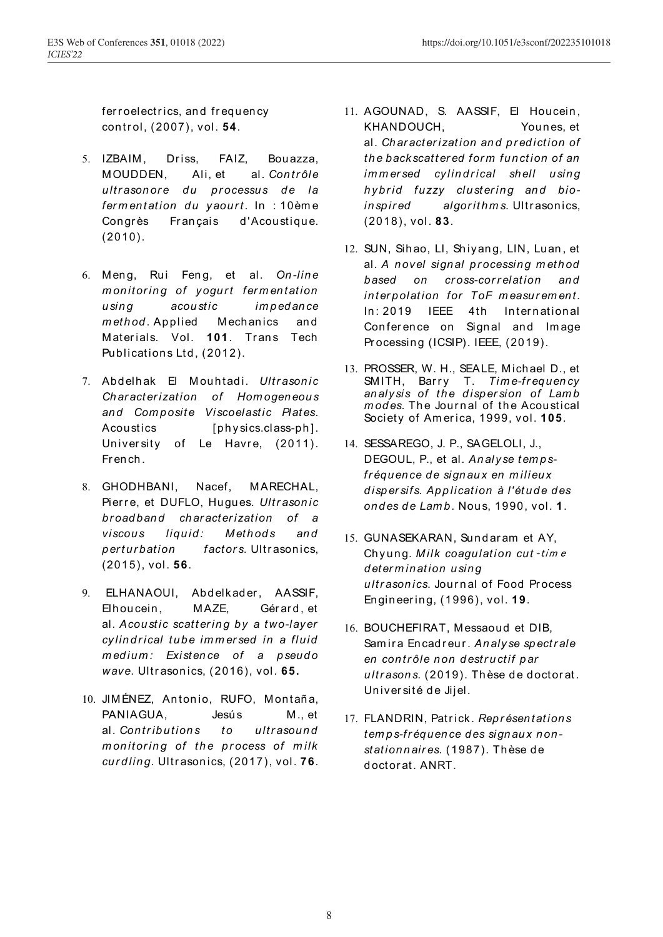fer roelectrics, and frequency control, (2007), vol. **54**.

- 5. IZBAIM, Driss, FAIZ, Bouazza, M OUDDEN, Ali, et al. *Con tr ôle ultrasonore du processus de la fer m entation du yaour t*. In : 10èm e Congrès Français d'Acoustique. (2010).
- 6. M en g, Rui Fen g, et al. *On -line m* onitoring of yogurt fermentation *usin g acou stic im p ed an ce method* Applied Mechanics and Materials. Vol. **101**. Trans Tech Publications Ltd, (2012).
- 7. Abd elh ak El M ouh tad i. *Ultr ason ic Ch ar act er ization of Hom ogen eou s*  and Composite Viscoelastic Plates. Acoustics [physics.class-ph]. University of Le Havre, (2011). Fr en ch .
- 8. GHODHBANI, Nacef, MARECHAL, Pierre, et DUFLO, Hugues. *Ultrasonic br oadband char acter ization of a viscous liquid: Methods and perturbation factors*. Ultrasonics, (2015), vol. **56**.
- 9. ELHANAOUI, Abdelkader, AASSIF, Elhoucein, MAZE, Gérard, et al*. Acou stic scatt er in g by a two-layer cylin d r ical tube im m er sed in a fluid m edium : Existen ce of a pseud o wave*. Ultr ason ics, (2016), vol. **65.**
- 10. JIMÉNEZ, Antonio, RUFO, Montaña, PANIAGUA, Jesús M., et al. Contributions to ultrasound *m on itor in g of th e pr ocess of m ilk curdling*. Ultr ason ics, (2017), vol. **76**.
- 11. AGOUNAD, S. AASSIF, El Houcein , KHANDOUCH, Youn es, et al. *Ch ar acter izat ion an d pr ed iction of th e backscatt er ed for m fun ct ion of an im m er sed cy lin d r ical sh ell usin g*  hybrid fuzzy clustering and bio*in sp ir ed algor it h m s*. Ultr ason ics, (2018), vol. **83**.
- 12. SUN, Sihao, LI, Shiyang, LIN, Luan, et al*. A n ovel sign al pr ocessin g m eth od based on cr oss-cor r elation and in ter polat ion for ToF m easur em en t.*  In: 2019 IEEE 4th International Conference on Signal and Image Processing (ICSIP). IEEE, (2019).
- 13. PROSSER, W. H., SEALE, M ich ael D., et SMITH, Barry T. *Time-frequency an alysis of th e d isp er sion of Lam b*  modes. The Journal of the Acoustical Society of Am er ica, 1999, vol. **105**.
- 14. SESSAREGO, J. P., SAGELOLI, J., DEGOUL, P., et al*. An alyse t em p sfr équ en ce d e sign au x en m ilieux d isp er sifs. App lication à l'ét ud e d es on d es d e Lam b*. Nou s, 1990, vol. **1**.
- 15. GUNASEKARAN, Sundaram et AY, Ch yun g. *Milk coagulation cut* ‐tim <sup>e</sup> *d eter m in at ion usin g ultr ason ics*. Jour n al of Food Pr ocess En gin eer in g, (1996), vol. **19**.
- 16. BOUCHEFIRAT, Messaoud et DIB. Sam ir a En cad r eur . *An alyse sp ectr ale en con tr ôle n on d estr u ctif p ar*  ultrasons. (2019). Thèse de doctorat. Université de Jijel.
- 17. FLANDRIN, Patr ick. *Rep r ésen tat ion s tem ps-fr équen ce d es sign au x n on station n air es*. (1987). Th èse d e d octor at. ANRT.